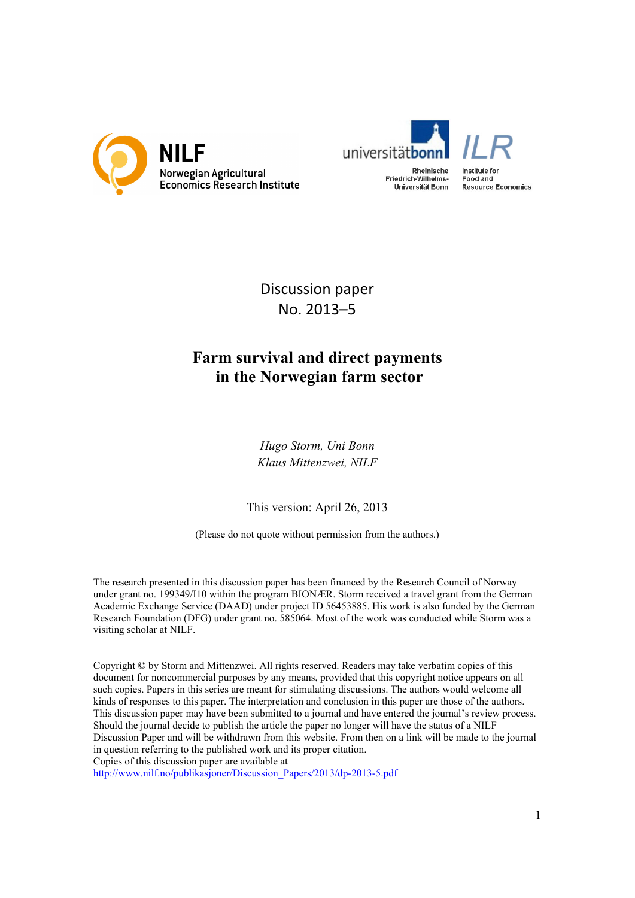



Discussion paper No. 2013–5

# **Farm survival and direct payments in the Norwegian farm sector**

*Hugo Storm, Uni Bonn Klaus Mittenzwei, NILF* 

This version: April 26, 2013

(Please do not quote without permission from the authors.)

The research presented in this discussion paper has been financed by the Research Council of Norway under grant no. 199349/I10 within the program BIONÆR. Storm received a travel grant from the German Academic Exchange Service (DAAD) under project ID 56453885. His work is also funded by the German Research Foundation (DFG) under grant no. 585064. Most of the work was conducted while Storm was a visiting scholar at NILF.

Copyright © by Storm and Mittenzwei. All rights reserved. Readers may take verbatim copies of this document for noncommercial purposes by any means, provided that this copyright notice appears on all such copies. Papers in this series are meant for stimulating discussions. The authors would welcome all kinds of responses to this paper. The interpretation and conclusion in this paper are those of the authors. This discussion paper may have been submitted to a journal and have entered the journal's review process. Should the journal decide to publish the article the paper no longer will have the status of a NILF Discussion Paper and will be withdrawn from this website. From then on a link will be made to the journal in question referring to the published work and its proper citation. Copies of this discussion paper are available at

http://www.nilf.no/publikasjoner/Discussion\_Papers/2013/dp-2013-5.pdf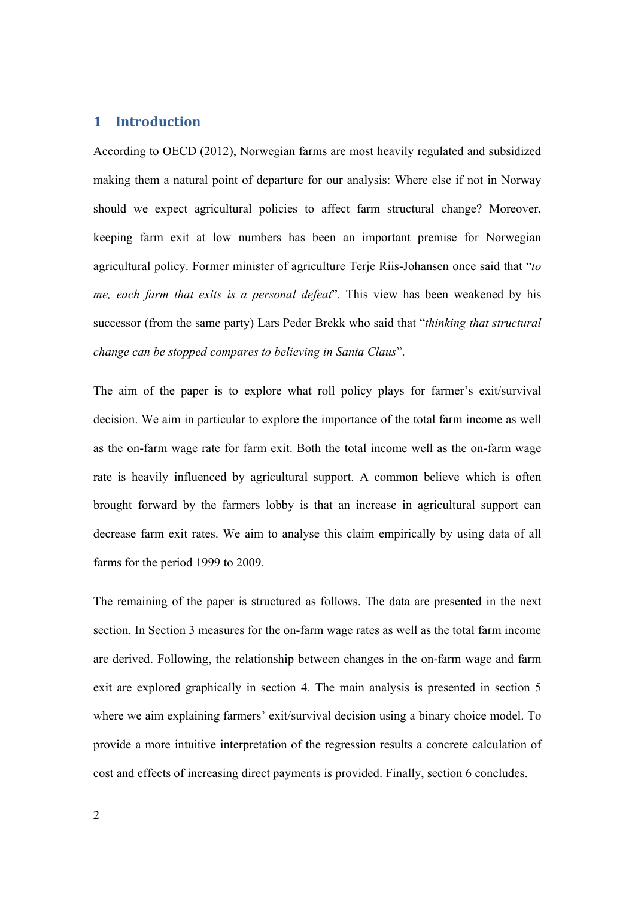# **1 Introduction**

According to OECD (2012), Norwegian farms are most heavily regulated and subsidized making them a natural point of departure for our analysis: Where else if not in Norway should we expect agricultural policies to affect farm structural change? Moreover, keeping farm exit at low numbers has been an important premise for Norwegian agricultural policy. Former minister of agriculture Terje Riis-Johansen once said that "*to me, each farm that exits is a personal defeat*". This view has been weakened by his successor (from the same party) Lars Peder Brekk who said that "*thinking that structural change can be stopped compares to believing in Santa Claus*".

The aim of the paper is to explore what roll policy plays for farmer's exit/survival decision. We aim in particular to explore the importance of the total farm income as well as the on-farm wage rate for farm exit. Both the total income well as the on-farm wage rate is heavily influenced by agricultural support. A common believe which is often brought forward by the farmers lobby is that an increase in agricultural support can decrease farm exit rates. We aim to analyse this claim empirically by using data of all farms for the period 1999 to 2009.

The remaining of the paper is structured as follows. The data are presented in the next section. In Section 3 measures for the on-farm wage rates as well as the total farm income are derived. Following, the relationship between changes in the on-farm wage and farm exit are explored graphically in section 4. The main analysis is presented in section 5 where we aim explaining farmers' exit/survival decision using a binary choice model. To provide a more intuitive interpretation of the regression results a concrete calculation of cost and effects of increasing direct payments is provided. Finally, section 6 concludes.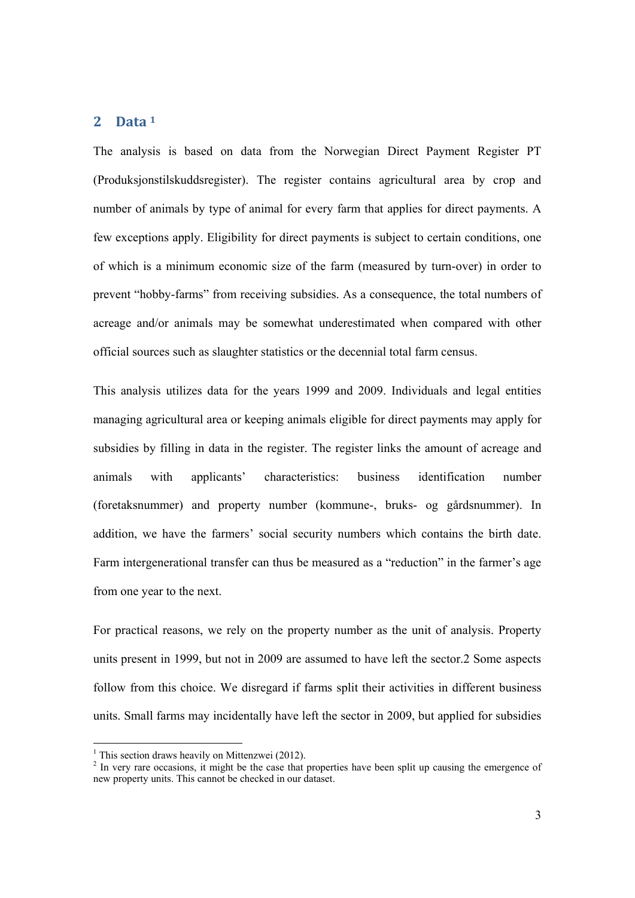### **2 Data <sup>1</sup>**

The analysis is based on data from the Norwegian Direct Payment Register PT (Produksjonstilskuddsregister). The register contains agricultural area by crop and number of animals by type of animal for every farm that applies for direct payments. A few exceptions apply. Eligibility for direct payments is subject to certain conditions, one of which is a minimum economic size of the farm (measured by turn-over) in order to prevent "hobby-farms" from receiving subsidies. As a consequence, the total numbers of acreage and/or animals may be somewhat underestimated when compared with other official sources such as slaughter statistics or the decennial total farm census.

This analysis utilizes data for the years 1999 and 2009. Individuals and legal entities managing agricultural area or keeping animals eligible for direct payments may apply for subsidies by filling in data in the register. The register links the amount of acreage and animals with applicants' characteristics: business identification number (foretaksnummer) and property number (kommune-, bruks- og gårdsnummer). In addition, we have the farmers' social security numbers which contains the birth date. Farm intergenerational transfer can thus be measured as a "reduction" in the farmer's age from one year to the next.

For practical reasons, we rely on the property number as the unit of analysis. Property units present in 1999, but not in 2009 are assumed to have left the sector.2 Some aspects follow from this choice. We disregard if farms split their activities in different business units. Small farms may incidentally have left the sector in 2009, but applied for subsidies

<sup>&</sup>lt;sup>1</sup> This section draws heavily on Mittenzwei (2012).

 $2$  In very rare occasions, it might be the case that properties have been split up causing the emergence of new property units. This cannot be checked in our dataset.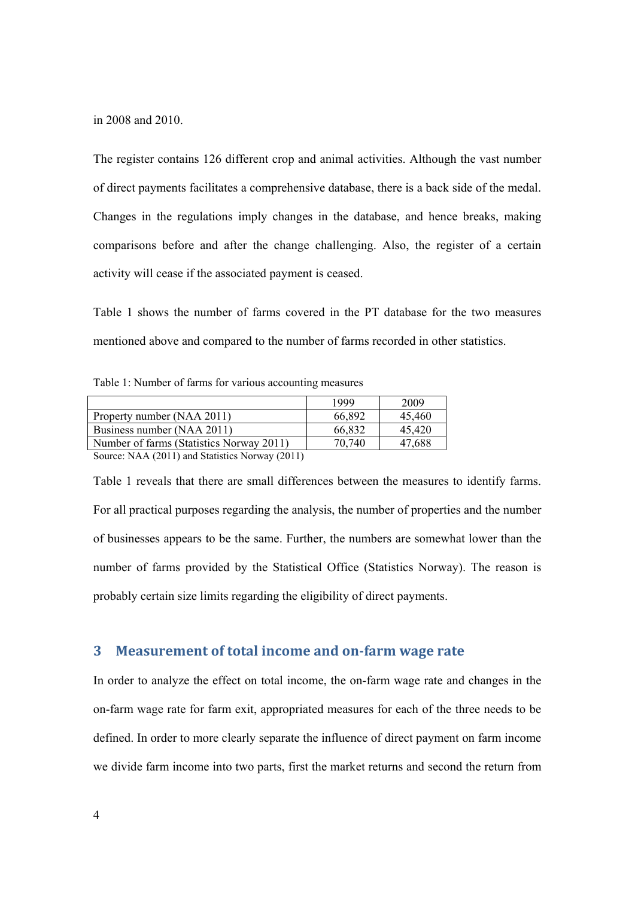in 2008 and 2010.

The register contains 126 different crop and animal activities. Although the vast number of direct payments facilitates a comprehensive database, there is a back side of the medal. Changes in the regulations imply changes in the database, and hence breaks, making comparisons before and after the change challenging. Also, the register of a certain activity will cease if the associated payment is ceased.

Table 1 shows the number of farms covered in the PT database for the two measures mentioned above and compared to the number of farms recorded in other statistics.

Table 1: Number of farms for various accounting measures

|                                                   | 1999   | 2009   |
|---------------------------------------------------|--------|--------|
| Property number (NAA 2011)                        | 66,892 | 45.460 |
|                                                   |        |        |
| Business number (NAA 2011)                        | 66,832 | 45,420 |
| Number of farms (Statistics Norway 2011)          | 70.740 | 47,688 |
| $0.$ (10.14 $(0.011)$ $1.01$ $M_{\odot}$ (0.01.1) |        |        |

Source: NAA (2011) and Statistics Norway (2011)

Table 1 reveals that there are small differences between the measures to identify farms. For all practical purposes regarding the analysis, the number of properties and the number of businesses appears to be the same. Further, the numbers are somewhat lower than the number of farms provided by the Statistical Office (Statistics Norway). The reason is probably certain size limits regarding the eligibility of direct payments.

# **3 Measurement of total income and on‐farm wage rate**

In order to analyze the effect on total income, the on-farm wage rate and changes in the on-farm wage rate for farm exit, appropriated measures for each of the three needs to be defined. In order to more clearly separate the influence of direct payment on farm income we divide farm income into two parts, first the market returns and second the return from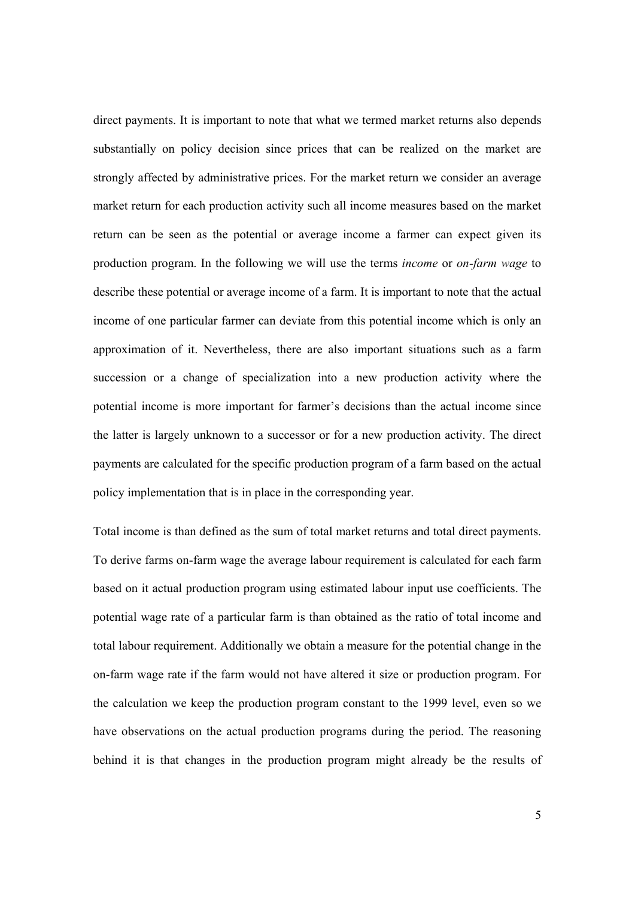direct payments. It is important to note that what we termed market returns also depends substantially on policy decision since prices that can be realized on the market are strongly affected by administrative prices. For the market return we consider an average market return for each production activity such all income measures based on the market return can be seen as the potential or average income a farmer can expect given its production program. In the following we will use the terms *income* or *on-farm wage* to describe these potential or average income of a farm. It is important to note that the actual income of one particular farmer can deviate from this potential income which is only an approximation of it. Nevertheless, there are also important situations such as a farm succession or a change of specialization into a new production activity where the potential income is more important for farmer's decisions than the actual income since the latter is largely unknown to a successor or for a new production activity. The direct payments are calculated for the specific production program of a farm based on the actual policy implementation that is in place in the corresponding year.

Total income is than defined as the sum of total market returns and total direct payments. To derive farms on-farm wage the average labour requirement is calculated for each farm based on it actual production program using estimated labour input use coefficients. The potential wage rate of a particular farm is than obtained as the ratio of total income and total labour requirement. Additionally we obtain a measure for the potential change in the on-farm wage rate if the farm would not have altered it size or production program. For the calculation we keep the production program constant to the 1999 level, even so we have observations on the actual production programs during the period. The reasoning behind it is that changes in the production program might already be the results of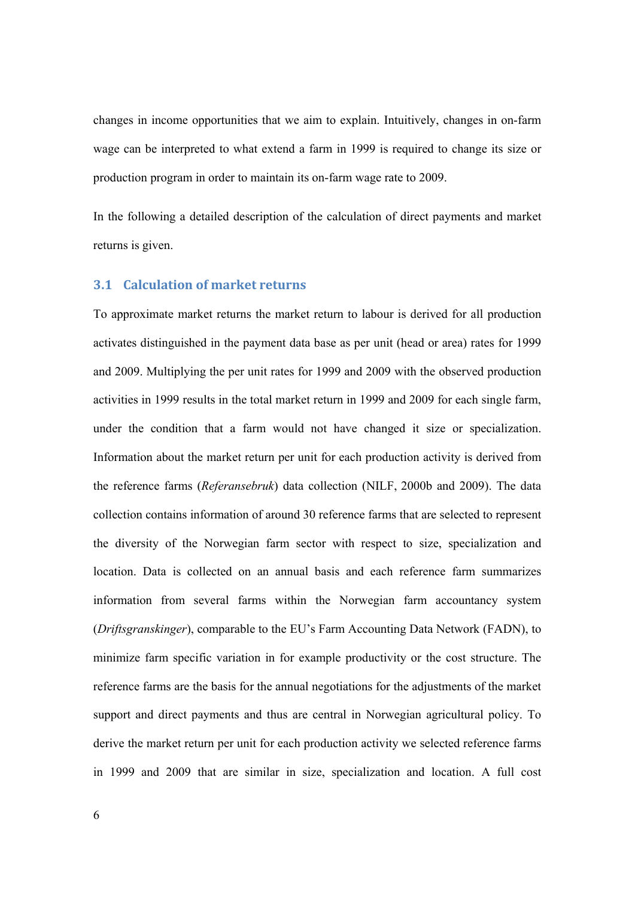changes in income opportunities that we aim to explain. Intuitively, changes in on-farm wage can be interpreted to what extend a farm in 1999 is required to change its size or production program in order to maintain its on-farm wage rate to 2009.

In the following a detailed description of the calculation of direct payments and market returns is given.

#### **3.1 Calculation of market returns**

To approximate market returns the market return to labour is derived for all production activates distinguished in the payment data base as per unit (head or area) rates for 1999 and 2009. Multiplying the per unit rates for 1999 and 2009 with the observed production activities in 1999 results in the total market return in 1999 and 2009 for each single farm, under the condition that a farm would not have changed it size or specialization. Information about the market return per unit for each production activity is derived from the reference farms (*Referansebruk*) data collection (NILF, 2000b and 2009). The data collection contains information of around 30 reference farms that are selected to represent the diversity of the Norwegian farm sector with respect to size, specialization and location. Data is collected on an annual basis and each reference farm summarizes information from several farms within the Norwegian farm accountancy system (*Driftsgranskinger*), comparable to the EU's Farm Accounting Data Network (FADN), to minimize farm specific variation in for example productivity or the cost structure. The reference farms are the basis for the annual negotiations for the adjustments of the market support and direct payments and thus are central in Norwegian agricultural policy. To derive the market return per unit for each production activity we selected reference farms in 1999 and 2009 that are similar in size, specialization and location. A full cost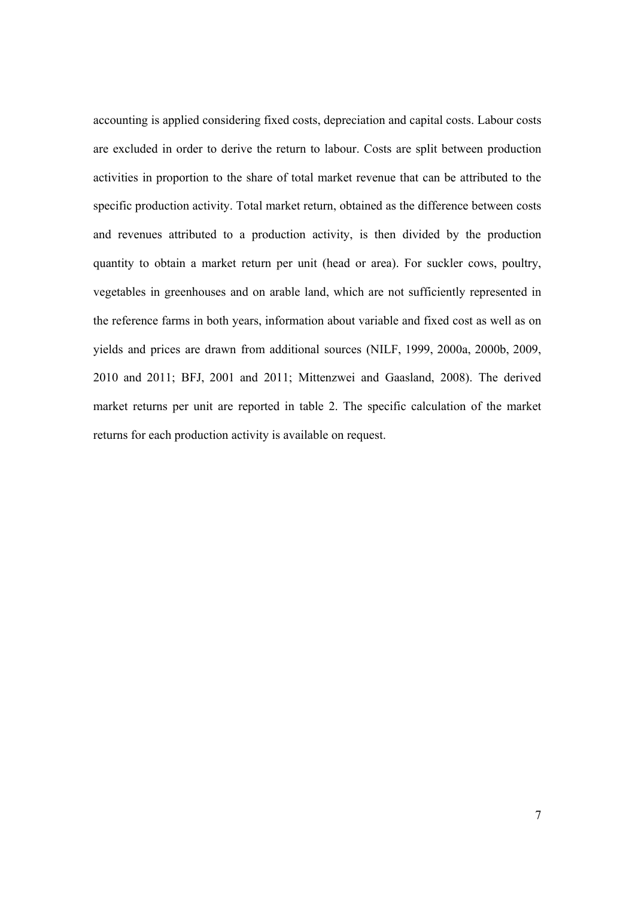accounting is applied considering fixed costs, depreciation and capital costs. Labour costs are excluded in order to derive the return to labour. Costs are split between production activities in proportion to the share of total market revenue that can be attributed to the specific production activity. Total market return, obtained as the difference between costs and revenues attributed to a production activity, is then divided by the production quantity to obtain a market return per unit (head or area). For suckler cows, poultry, vegetables in greenhouses and on arable land, which are not sufficiently represented in the reference farms in both years, information about variable and fixed cost as well as on yields and prices are drawn from additional sources (NILF, 1999, 2000a, 2000b, 2009, 2010 and 2011; BFJ, 2001 and 2011; Mittenzwei and Gaasland, 2008). The derived market returns per unit are reported in table 2. The specific calculation of the market returns for each production activity is available on request.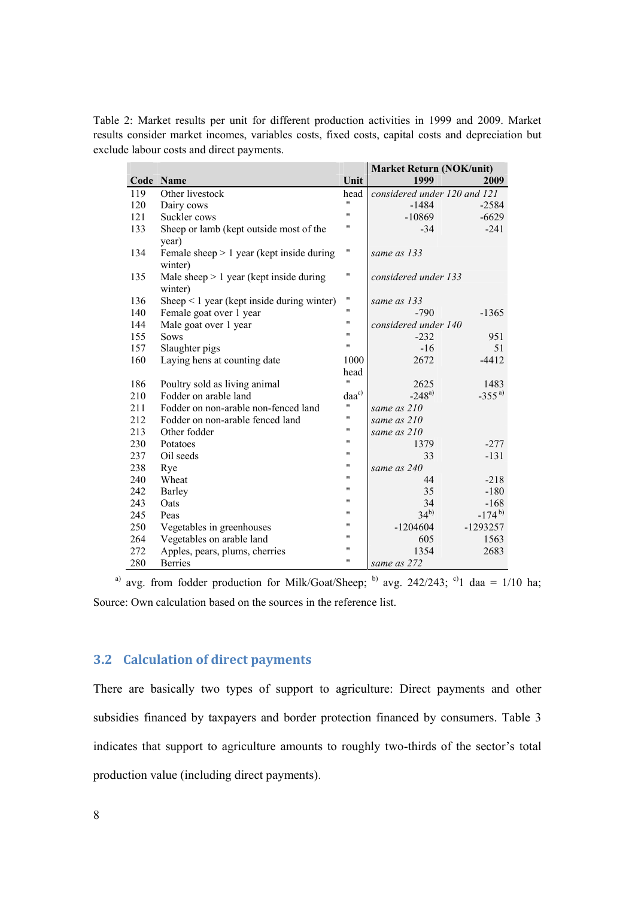Table 2: Market results per unit for different production activities in 1999 and 2009. Market results consider market incomes, variables costs, fixed costs, capital costs and depreciation but exclude labour costs and direct payments.

|     |                                                 |                    | <b>Market Return (NOK/unit)</b> |            |  |
|-----|-------------------------------------------------|--------------------|---------------------------------|------------|--|
|     | Code Name                                       | Unit               | 1999                            | 2009       |  |
| 119 | Other livestock                                 | head               | considered under 120 and 121    |            |  |
| 120 | Dairy cows                                      | $^{\prime\prime}$  | $-1484$                         | $-2584$    |  |
| 121 | Suckler cows                                    | $^{\prime\prime}$  | $-10869$                        | $-6629$    |  |
| 133 | Sheep or lamb (kept outside most of the         | "                  | $-34$                           | $-241$     |  |
|     | year)                                           |                    |                                 |            |  |
| 134 | Female sheep $> 1$ year (kept inside during     | $\pmb{\mathsf{H}}$ | same as 133                     |            |  |
|     | winter)                                         |                    |                                 |            |  |
| 135 | Male sheep $> 1$ year (kept inside during       | "                  | considered under 133            |            |  |
|     | winter)                                         |                    |                                 |            |  |
| 136 | Sheep $\leq 1$ year (kept inside during winter) | $\pmb{\mathsf{H}}$ | same as 133                     |            |  |
| 140 | Female goat over 1 year                         | "                  | $-790$                          | $-1365$    |  |
| 144 | Male goat over 1 year                           | $^{\prime\prime}$  | considered under 140            |            |  |
| 155 | <b>Sows</b>                                     | $\pmb{\mathsf{H}}$ | $-232$                          | 951        |  |
| 157 | Slaughter pigs                                  | $\pmb{\mathsf{H}}$ | $-16$                           | 51         |  |
| 160 | Laying hens at counting date                    | 1000               | 2672                            | $-4412$    |  |
|     |                                                 | head               |                                 |            |  |
| 186 | Poultry sold as living animal                   | $^{\prime\prime}$  | 2625                            | 1483       |  |
| 210 | Fodder on arable land                           | $\rm{daa}^{c)}$    | $-248^{a}$                      | $-355^{a}$ |  |
| 211 | Fodder on non-arable non-fenced land            | $\pmb{\mathsf{H}}$ | same as 210                     |            |  |
| 212 | Fodder on non-arable fenced land                | $\pmb{\mathsf{H}}$ | same as 210                     |            |  |
| 213 | Other fodder                                    | 11                 | same as 210                     |            |  |
| 230 | Potatoes                                        | $^{\prime\prime}$  | 1379                            | $-277$     |  |
| 237 | Oil seeds                                       | 11                 | 33                              | $-131$     |  |
| 238 | Rye                                             | $\pmb{\mathsf{H}}$ | same as 240                     |            |  |
| 240 | Wheat                                           | $\pmb{\mathsf{H}}$ | 44                              | $-218$     |  |
| 242 | Barley                                          | $\pmb{\mathsf{H}}$ | 35                              | $-180$     |  |
| 243 | Oats                                            | $\pmb{\mathsf{H}}$ | 34                              | $-168$     |  |
| 245 | Peas                                            | $^{\prime\prime}$  | $34^{b}$                        | $-174^{b}$ |  |
| 250 | Vegetables in greenhouses                       | $\pmb{\mathsf{H}}$ | $-1204604$                      | $-1293257$ |  |
| 264 | Vegetables on arable land                       | $^{\prime\prime}$  | 605                             | 1563       |  |
| 272 | Apples, pears, plums, cherries                  | $\pmb{\mathsf{H}}$ | 1354                            | 2683       |  |
| 280 | <b>Berries</b>                                  | $\pmb{\mathsf{H}}$ | same as 272                     |            |  |

<sup>a)</sup> avg. from fodder production for Milk/Goat/Sheep; <sup>b)</sup> avg. 242/243; <sup>c)</sup>1 daa = 1/10 ha; Source: Own calculation based on the sources in the reference list.

# **3.2 Calculation of direct payments**

There are basically two types of support to agriculture: Direct payments and other subsidies financed by taxpayers and border protection financed by consumers. Table 3 indicates that support to agriculture amounts to roughly two-thirds of the sector's total production value (including direct payments).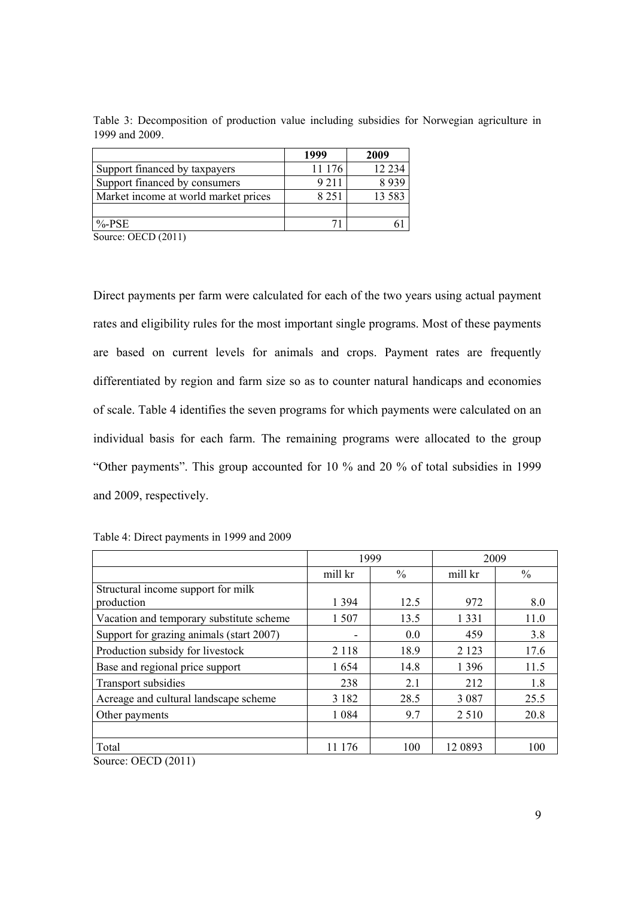|                                      | 1999    | 2009     |
|--------------------------------------|---------|----------|
| Support financed by taxpayers        | 11 176  | 12 2 3 4 |
| Support financed by consumers        | 9 2 1 1 | 8939     |
| Market income at world market prices | 8 2 5 1 | 13 5 8 3 |
|                                      |         |          |
| $%$ -PSE                             |         |          |

Table 3: Decomposition of production value including subsidies for Norwegian agriculture in 1999 and 2009.

Source: OECD (2011)

Direct payments per farm were calculated for each of the two years using actual payment rates and eligibility rules for the most important single programs. Most of these payments are based on current levels for animals and crops. Payment rates are frequently differentiated by region and farm size so as to counter natural handicaps and economies of scale. Table 4 identifies the seven programs for which payments were calculated on an individual basis for each farm. The remaining programs were allocated to the group "Other payments". This group accounted for 10 % and 20 % of total subsidies in 1999 and 2009, respectively.

|  | Table 4: Direct payments in 1999 and 2009 |  |  |
|--|-------------------------------------------|--|--|
|  |                                           |  |  |

|                                                                                    | 1999    |               | 2009    |               |
|------------------------------------------------------------------------------------|---------|---------------|---------|---------------|
|                                                                                    | mill kr | $\frac{0}{0}$ | mill kr | $\frac{0}{0}$ |
| Structural income support for milk<br>production                                   | 1 3 9 4 | 12.5          | 972     | 8.0           |
| Vacation and temporary substitute scheme                                           | 1 507   | 13.5          | 1 3 3 1 | 11.0          |
| Support for grazing animals (start 2007)                                           | ۰       | 0.0           | 459     | 3.8           |
| Production subsidy for livestock                                                   | 2 1 1 8 | 18.9          | 2 1 2 3 | 17.6          |
| Base and regional price support                                                    | 1654    | 14.8          | 1 3 9 6 | 11.5          |
| Transport subsidies                                                                | 238     | 2.1           | 212     | 1.8           |
| Acreage and cultural landscape scheme                                              | 3 1 8 2 | 28.5          | 3 0 8 7 | 25.5          |
| Other payments                                                                     | 1 0 8 4 | 9.7           | 2 5 1 0 | 20.8          |
|                                                                                    |         |               |         |               |
| Total                                                                              | 11 176  | 100           | 12 0893 | 100           |
| $S_{\text{outres}}$ $\Omega$ $\Gamma$ $\Gamma$ $\Omega$ $\Omega$ $\Gamma$ $\Omega$ |         |               |         |               |

Source: OECD (2011)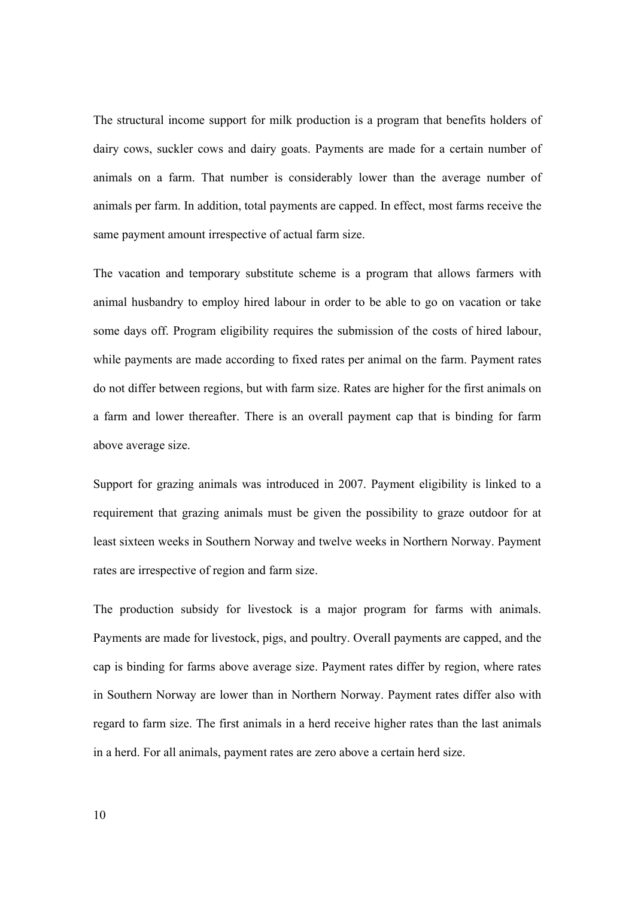The structural income support for milk production is a program that benefits holders of dairy cows, suckler cows and dairy goats. Payments are made for a certain number of animals on a farm. That number is considerably lower than the average number of animals per farm. In addition, total payments are capped. In effect, most farms receive the same payment amount irrespective of actual farm size.

The vacation and temporary substitute scheme is a program that allows farmers with animal husbandry to employ hired labour in order to be able to go on vacation or take some days off. Program eligibility requires the submission of the costs of hired labour, while payments are made according to fixed rates per animal on the farm. Payment rates do not differ between regions, but with farm size. Rates are higher for the first animals on a farm and lower thereafter. There is an overall payment cap that is binding for farm above average size.

Support for grazing animals was introduced in 2007. Payment eligibility is linked to a requirement that grazing animals must be given the possibility to graze outdoor for at least sixteen weeks in Southern Norway and twelve weeks in Northern Norway. Payment rates are irrespective of region and farm size.

The production subsidy for livestock is a major program for farms with animals. Payments are made for livestock, pigs, and poultry. Overall payments are capped, and the cap is binding for farms above average size. Payment rates differ by region, where rates in Southern Norway are lower than in Northern Norway. Payment rates differ also with regard to farm size. The first animals in a herd receive higher rates than the last animals in a herd. For all animals, payment rates are zero above a certain herd size.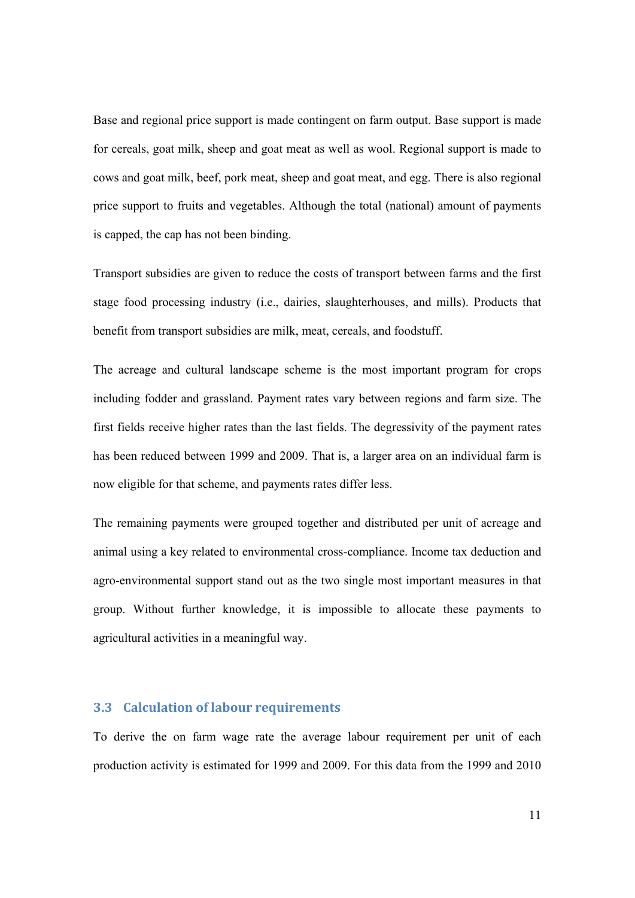Base and regional price support is made contingent on farm output. Base support is made for cereals, goat milk, sheep and goat meat as well as wool. Regional support is made to cows and goat milk, beef, pork meat, sheep and goat meat, and egg. There is also regional price support to fruits and vegetables. Although the total (national) amount of payments is capped, the cap has not been binding.

Transport subsidies are given to reduce the costs of transport between farms and the first stage food processing industry (i.e., dairies, slaughterhouses, and mills). Products that benefit from transport subsidies are milk, meat, cereals, and foodstuff.

The acreage and cultural landscape scheme is the most important program for crops including fodder and grassland. Payment rates vary between regions and farm size. The first fields receive higher rates than the last fields. The degressivity of the payment rates has been reduced between 1999 and 2009. That is, a larger area on an individual farm is now eligible for that scheme, and payments rates differ less.

The remaining payments were grouped together and distributed per unit of acreage and animal using a key related to environmental cross-compliance. Income tax deduction and agro-environmental support stand out as the two single most important measures in that group. Without further knowledge, it is impossible to allocate these payments to agricultural activities in a meaningful way.

### **3.3 Calculation of labour requirements**

To derive the on farm wage rate the average labour requirement per unit of each production activity is estimated for 1999 and 2009. For this data from the 1999 and 2010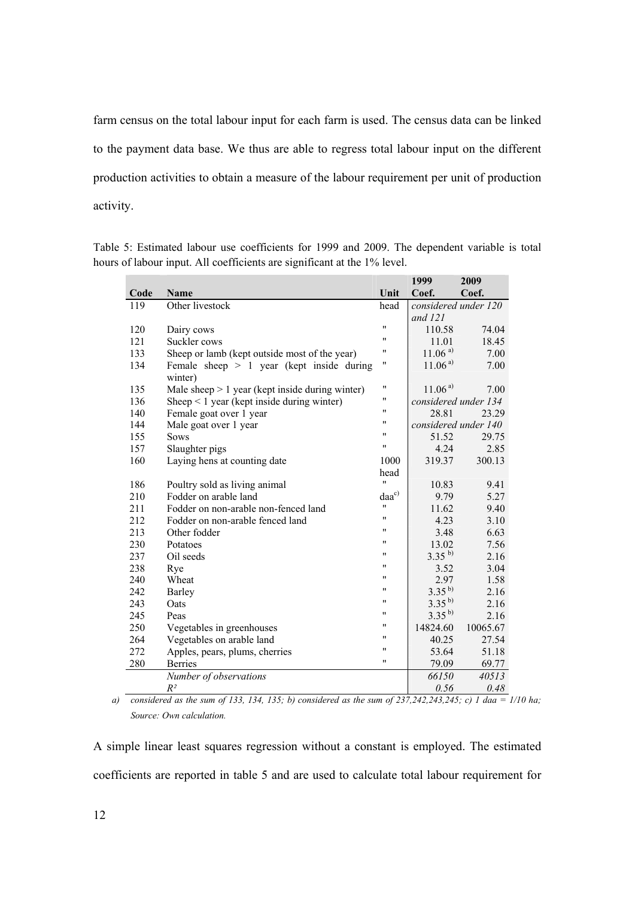farm census on the total labour input for each farm is used. The census data can be linked to the payment data base. We thus are able to regress total labour input on the different production activities to obtain a measure of the labour requirement per unit of production activity.

Table 5: Estimated labour use coefficients for 1999 and 2009. The dependent variable is total hours of labour input. All coefficients are significant at the 1% level.

|      |                                                        |                    | 1999                 | 2009     |
|------|--------------------------------------------------------|--------------------|----------------------|----------|
| Code | Name                                                   | Unit               | Coef.                | Coef.    |
| 119  | Other livestock                                        | head               | considered under 120 |          |
|      |                                                        |                    | and $121$            |          |
| 120  | Dairy cows                                             | $\pmb{\mathsf{H}}$ | 110.58               | 74.04    |
| 121  | Suckler cows                                           | 11                 | 11.01                | 18.45    |
| 133  | Sheep or lamb (kept outside most of the year)          | "                  | $11.06^{a}$          | 7.00     |
| 134  | Female sheep $> 1$ year (kept inside during<br>winter) | 11                 | $11.06^{a}$          | 7.00     |
| 135  | Male sheep $> 1$ year (kept inside during winter)      | 11                 | $11.06^{a}$          | 7.00     |
| 136  | Sheep $\leq 1$ year (kept inside during winter)        | "                  | considered under 134 |          |
| 140  | Female goat over 1 year                                | 11                 | 28.81                | 23.29    |
| 144  | Male goat over 1 year                                  | 11                 | considered under 140 |          |
| 155  | <b>Sows</b>                                            | 11                 | 51.52                | 29.75    |
| 157  | Slaughter pigs                                         | $\pmb{\mathsf{H}}$ | 4.24                 | 2.85     |
| 160  | Laying hens at counting date                           | 1000               | 319.37               | 300.13   |
|      |                                                        | head               |                      |          |
| 186  | Poultry sold as living animal                          | $^{\prime\prime}$  | 10.83                | 9.41     |
| 210  | Fodder on arable land                                  | $daa^{c}$          | 9.79                 | 5.27     |
| 211  | Fodder on non-arable non-fenced land                   | $^{\prime\prime}$  | 11.62                | 9.40     |
| 212  | Fodder on non-arable fenced land                       | 11                 | 4.23                 | 3.10     |
| 213  | Other fodder                                           | 11                 | 3.48                 | 6.63     |
| 230  | Potatoes                                               | "                  | 13.02                | 7.56     |
| 237  | Oil seeds                                              | 11                 | $3.35^{b}$           | 2.16     |
| 238  | Rye                                                    | "                  | 3.52                 | 3.04     |
| 240  | Wheat                                                  | "                  | 2.97                 | 1.58     |
| 242  | Barley                                                 | "                  | $3.35^{b}$           | 2.16     |
| 243  | Oats                                                   | 11                 | $3.35^{b}$           | 2.16     |
| 245  | Peas                                                   | 11                 | $3.35^{b}$           | 2.16     |
| 250  | Vegetables in greenhouses                              | "                  | 14824.60             | 10065.67 |
| 264  | Vegetables on arable land                              | 11                 | 40.25                | 27.54    |
| 272  | Apples, pears, plums, cherries                         | $^{\prime\prime}$  | 53.64                | 51.18    |
| 280  | <b>Berries</b>                                         | "                  | 79.09                | 69.77    |
|      | Number of observations                                 |                    | 66150                | 40513    |
|      | $R^2$                                                  |                    | 0.56                 | 0.48     |

*a) considered as the sum of 133, 134, 135; b) considered as the sum of 237,242,243,245; c) 1 daa = 1/10 ha; Source: Own calculation.* 

A simple linear least squares regression without a constant is employed. The estimated coefficients are reported in table 5 and are used to calculate total labour requirement for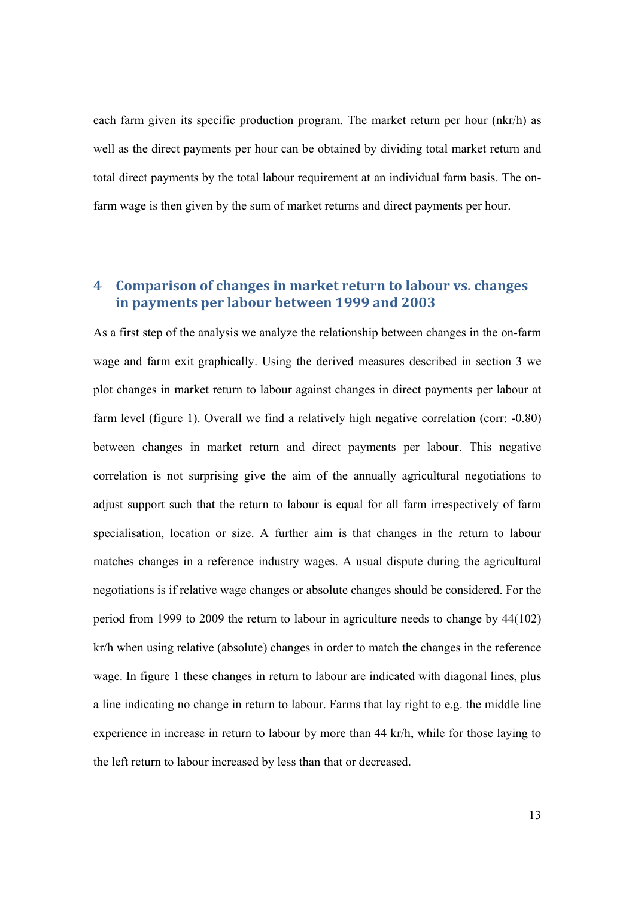each farm given its specific production program. The market return per hour (nkr/h) as well as the direct payments per hour can be obtained by dividing total market return and total direct payments by the total labour requirement at an individual farm basis. The onfarm wage is then given by the sum of market returns and direct payments per hour.

# **4 Comparison of changes in market return to labour vs. changes in payments per labour between 1999 and 2003**

As a first step of the analysis we analyze the relationship between changes in the on-farm wage and farm exit graphically. Using the derived measures described in section 3 we plot changes in market return to labour against changes in direct payments per labour at farm level (figure 1). Overall we find a relatively high negative correlation (corr: -0.80) between changes in market return and direct payments per labour. This negative correlation is not surprising give the aim of the annually agricultural negotiations to adjust support such that the return to labour is equal for all farm irrespectively of farm specialisation, location or size. A further aim is that changes in the return to labour matches changes in a reference industry wages. A usual dispute during the agricultural negotiations is if relative wage changes or absolute changes should be considered. For the period from 1999 to 2009 the return to labour in agriculture needs to change by 44(102) kr/h when using relative (absolute) changes in order to match the changes in the reference wage. In figure 1 these changes in return to labour are indicated with diagonal lines, plus a line indicating no change in return to labour. Farms that lay right to e.g. the middle line experience in increase in return to labour by more than 44 kr/h, while for those laying to the left return to labour increased by less than that or decreased.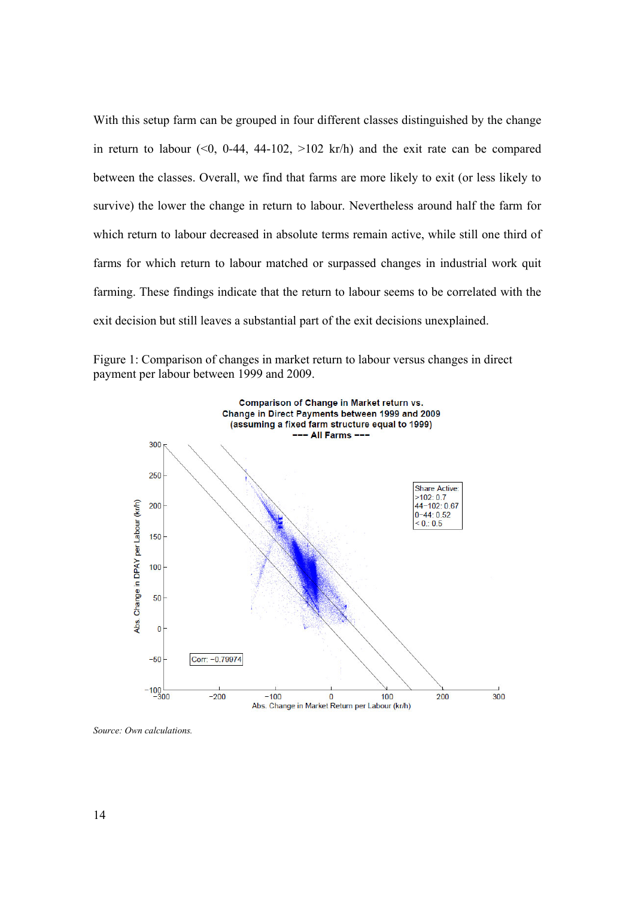With this setup farm can be grouped in four different classes distinguished by the change in return to labour  $(0, 0.44, 44-102, 0.02 \text{ km/h})$  and the exit rate can be compared between the classes. Overall, we find that farms are more likely to exit (or less likely to survive) the lower the change in return to labour. Nevertheless around half the farm for which return to labour decreased in absolute terms remain active, while still one third of farms for which return to labour matched or surpassed changes in industrial work quit farming. These findings indicate that the return to labour seems to be correlated with the exit decision but still leaves a substantial part of the exit decisions unexplained.



Figure 1: Comparison of changes in market return to labour versus changes in direct payment per labour between 1999 and 2009.

*Source: Own calculations.*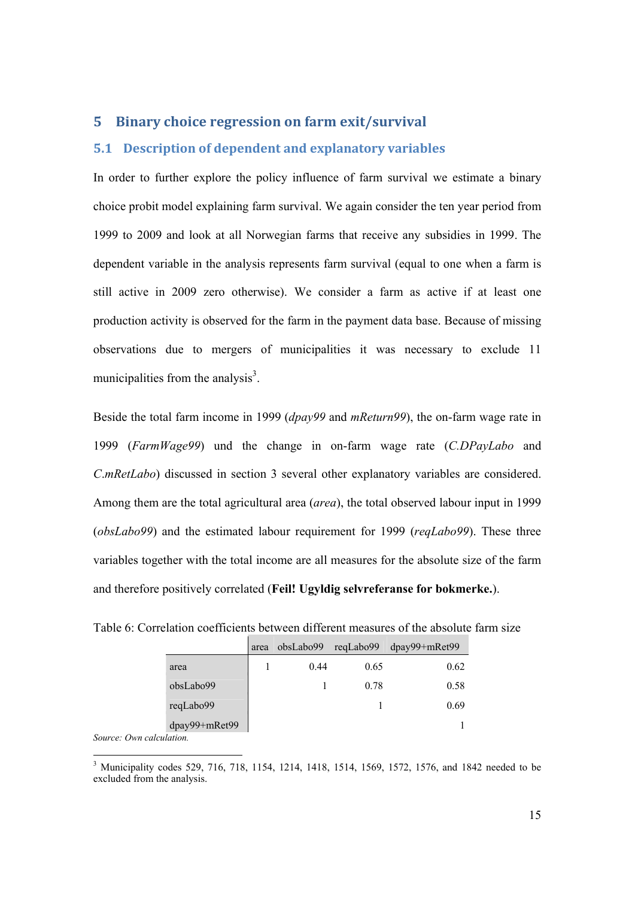# **5 Binary choice regression on farm exit/survival**

# **5.1 Description of dependent and explanatory variables**

In order to further explore the policy influence of farm survival we estimate a binary choice probit model explaining farm survival. We again consider the ten year period from 1999 to 2009 and look at all Norwegian farms that receive any subsidies in 1999. The dependent variable in the analysis represents farm survival (equal to one when a farm is still active in 2009 zero otherwise). We consider a farm as active if at least one production activity is observed for the farm in the payment data base. Because of missing observations due to mergers of municipalities it was necessary to exclude 11 municipalities from the analysis $3$ .

Beside the total farm income in 1999 (*dpay99* and *mReturn99*), the on-farm wage rate in 1999 (*FarmWage99*) und the change in on-farm wage rate (*C.DPayLabo* and *C*.*mRetLabo*) discussed in section 3 several other explanatory variables are considered. Among them are the total agricultural area (*area*), the total observed labour input in 1999 (*obsLabo99*) and the estimated labour requirement for 1999 (*reqLabo99*). These three variables together with the total income are all measures for the absolute size of the farm and therefore positively correlated (**Feil! Ugyldig selvreferanse for bokmerke.**).

|               | area | obsLabo99 | reqLabo99 | $dpay99+mRet99$ |
|---------------|------|-----------|-----------|-----------------|
| area          |      | 0.44      | 0.65      | 0.62            |
| obsLabo99     |      |           | 0.78      | 0.58            |
| reqLabo99     |      |           |           | 0.69            |
| dpay99+mRet99 |      |           |           |                 |

Table 6: Correlation coefficients between different measures of the absolute farm size

*Source: Own calculation.* 

<sup>&</sup>lt;sup>3</sup> Municipality codes 529, 716, 718, 1154, 1214, 1418, 1514, 1569, 1572, 1576, and 1842 needed to be excluded from the analysis.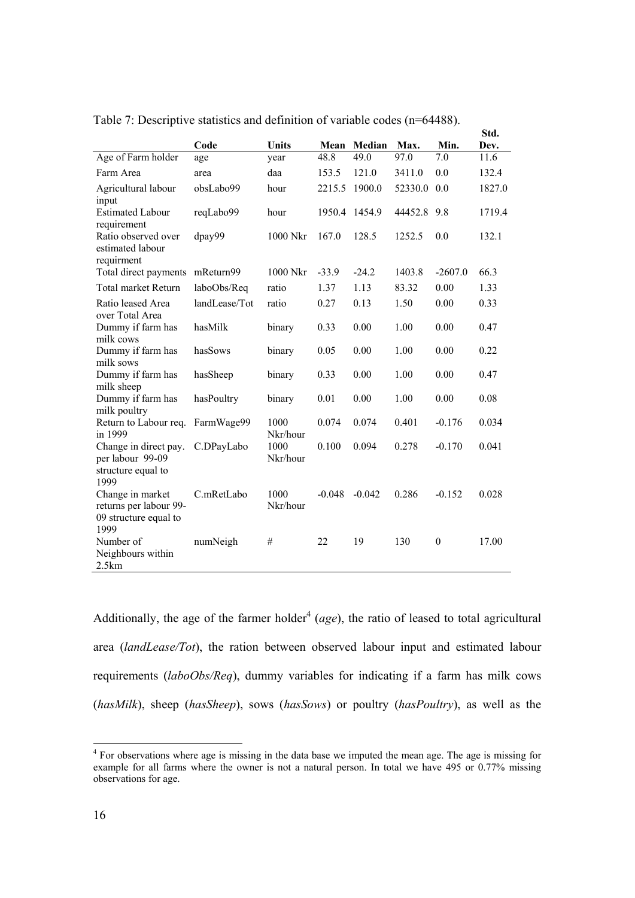|                                                                             |               |                  |          |          |         |                  | Std.   |
|-----------------------------------------------------------------------------|---------------|------------------|----------|----------|---------|------------------|--------|
|                                                                             | Code          | Units            | Mean     | Median   | Max.    | Min.             | Dev.   |
| Age of Farm holder                                                          | age           | year             | 48.8     | 49.0     | 97.0    | 7.0              | 11.6   |
| Farm Area                                                                   | area          | daa              | 153.5    | 121.0    | 3411.0  | 0.0              | 132.4  |
| Agricultural labour<br>input                                                | obsLabo99     | hour             | 2215.5   | 1900.0   | 52330.0 | 0.0              | 1827.0 |
| <b>Estimated Labour</b><br>requirement                                      | reqLabo99     | hour             | 1950.4   | 1454.9   | 44452.8 | 9.8              | 1719.4 |
| Ratio observed over<br>estimated labour<br>requirment                       | dpay99        | 1000 Nkr         | 167.0    | 128.5    | 1252.5  | 0.0              | 132.1  |
| Total direct payments                                                       | mReturn99     | 1000 Nkr         | $-33.9$  | $-24.2$  | 1403.8  | $-2607.0$        | 66.3   |
| <b>Total market Return</b>                                                  | laboObs/Req   | ratio            | 1.37     | 1.13     | 83.32   | 0.00             | 1.33   |
| Ratio leased Area<br>over Total Area                                        | landLease/Tot | ratio            | 0.27     | 0.13     | 1.50    | 0.00             | 0.33   |
| Dummy if farm has<br>milk cows                                              | hasMilk       | binary           | 0.33     | 0.00     | 1.00    | 0.00             | 0.47   |
| Dummy if farm has<br>milk sows                                              | hasSows       | binary           | 0.05     | 0.00     | 1.00    | 0.00             | 0.22   |
| Dummy if farm has<br>milk sheep                                             | hasSheep      | binary           | 0.33     | 0.00     | 1.00    | 0.00             | 0.47   |
| Dummy if farm has<br>milk poultry                                           | hasPoultry    | binary           | 0.01     | 0.00     | 1.00    | 0.00             | 0.08   |
| Return to Labour req.<br>in 1999                                            | FarmWage99    | 1000<br>Nkr/hour | 0.074    | 0.074    | 0.401   | $-0.176$         | 0.034  |
| Change in direct pay.<br>per labour 99-09<br>structure equal to<br>1999     | C.DPayLabo    | 1000<br>Nkr/hour | 0.100    | 0.094    | 0.278   | $-0.170$         | 0.041  |
| Change in market<br>returns per labour 99-<br>09 structure equal to<br>1999 | C.mRetLabo    | 1000<br>Nkr/hour | $-0.048$ | $-0.042$ | 0.286   | $-0.152$         | 0.028  |
| Number of<br>Neighbours within<br>2.5km                                     | numNeigh      | $\#$             | 22       | 19       | 130     | $\boldsymbol{0}$ | 17.00  |

Table 7: Descriptive statistics and definition of variable codes (n=64488).

Additionally, the age of the farmer holder<sup>4</sup> (*age*), the ratio of leased to total agricultural area (*landLease/Tot*), the ration between observed labour input and estimated labour requirements (*laboObs/Req*), dummy variables for indicating if a farm has milk cows (*hasMilk*), sheep (*hasSheep*), sows (*hasSows*) or poultry (*hasPoultry*), as well as the

<sup>&</sup>lt;sup>4</sup> For observations where age is missing in the data base we imputed the mean age. The age is missing for example for all farms where the owner is not a natural person. In total we have 495 or 0.77% missing observations for age.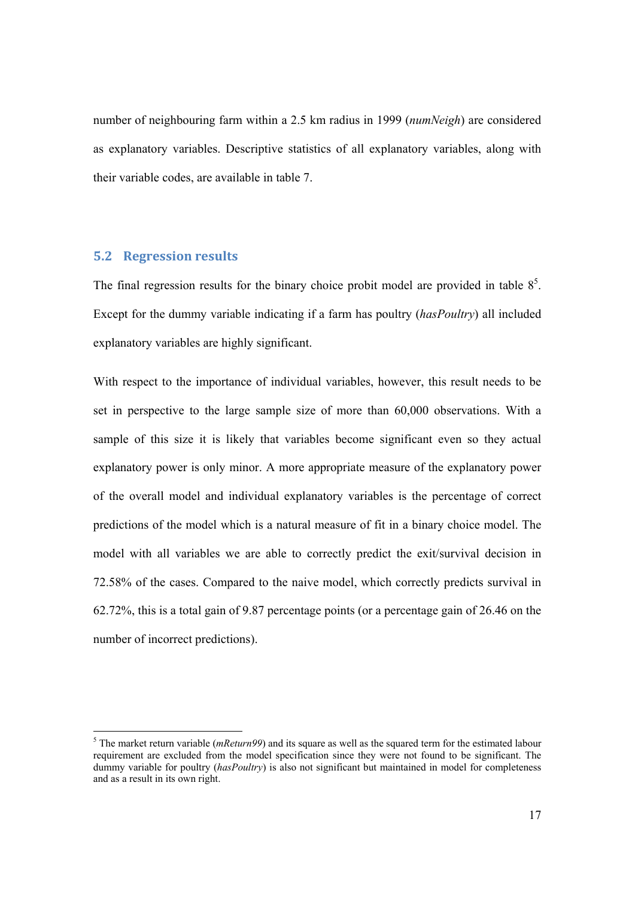number of neighbouring farm within a 2.5 km radius in 1999 (*numNeigh*) are considered as explanatory variables. Descriptive statistics of all explanatory variables, along with their variable codes, are available in table 7.

### **5.2 Regression results**

The final regression results for the binary choice probit model are provided in table  $8<sup>5</sup>$ . Except for the dummy variable indicating if a farm has poultry (*hasPoultry*) all included explanatory variables are highly significant.

With respect to the importance of individual variables, however, this result needs to be set in perspective to the large sample size of more than 60,000 observations. With a sample of this size it is likely that variables become significant even so they actual explanatory power is only minor. A more appropriate measure of the explanatory power of the overall model and individual explanatory variables is the percentage of correct predictions of the model which is a natural measure of fit in a binary choice model. The model with all variables we are able to correctly predict the exit/survival decision in 72.58% of the cases. Compared to the naive model, which correctly predicts survival in 62.72%, this is a total gain of 9.87 percentage points (or a percentage gain of 26.46 on the number of incorrect predictions).

<sup>&</sup>lt;sup>5</sup> The market return variable (*mReturn99*) and its square as well as the squared term for the estimated labour requirement are excluded from the model specification since they were not found to be significant. The dummy variable for poultry (*hasPoultry*) is also not significant but maintained in model for completeness and as a result in its own right.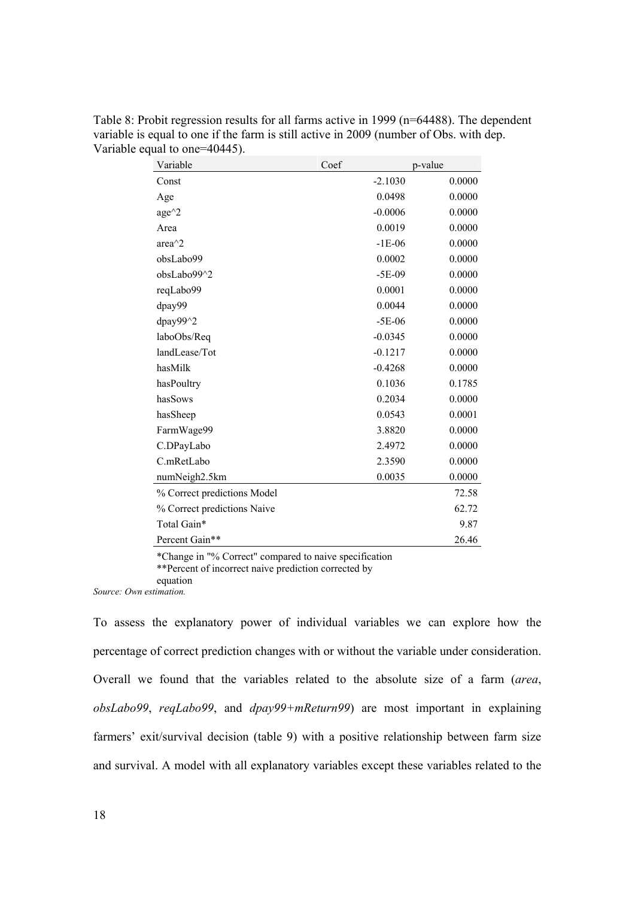| Variable                    | Coef      | p-value |
|-----------------------------|-----------|---------|
| Const                       | $-2.1030$ | 0.0000  |
| Age                         | 0.0498    | 0.0000  |
| $age^{\wedge}2$             | $-0.0006$ | 0.0000  |
| Area                        | 0.0019    | 0.0000  |
| area $^{\wedge}2$           | $-1E-06$  | 0.0000  |
| obsLabo99                   | 0.0002    | 0.0000  |
| obsLabo99^2                 | $-5E-09$  | 0.0000  |
| reqLabo99                   | 0.0001    | 0.0000  |
| dpay99                      | 0.0044    | 0.0000  |
| $\frac{dpay99}{2}$          | $-5E-06$  | 0.0000  |
| laboObs/Req                 | $-0.0345$ | 0.0000  |
| landLease/Tot               | $-0.1217$ | 0.0000  |
| hasMilk                     | $-0.4268$ | 0.0000  |
| hasPoultry                  | 0.1036    | 0.1785  |
| hasSows                     | 0.2034    | 0.0000  |
| hasSheep                    | 0.0543    | 0.0001  |
| FarmWage99                  | 3.8820    | 0.0000  |
| C.DPayLabo                  | 2.4972    | 0.0000  |
| C.mRetLabo                  | 2.3590    | 0.0000  |
| numNeigh2.5km               | 0.0035    | 0.0000  |
| % Correct predictions Model |           | 72.58   |
| % Correct predictions Naive |           | 62.72   |
| Total Gain*                 |           | 9.87    |
| Percent Gain**              |           | 26.46   |

Table 8: Probit regression results for all farms active in 1999 (n=64488). The dependent variable is equal to one if the farm is still active in 2009 (number of Obs. with dep. Variable equal to one=40445).

\*Change in "% Correct" compared to naive specification \*\*Percent of incorrect naive prediction corrected by equation

*Source: Own estimation.* 

To assess the explanatory power of individual variables we can explore how the percentage of correct prediction changes with or without the variable under consideration. Overall we found that the variables related to the absolute size of a farm (*area*, *obsLabo99*, *reqLabo99*, and *dpay99+mReturn99*) are most important in explaining farmers' exit/survival decision (table 9) with a positive relationship between farm size and survival. A model with all explanatory variables except these variables related to the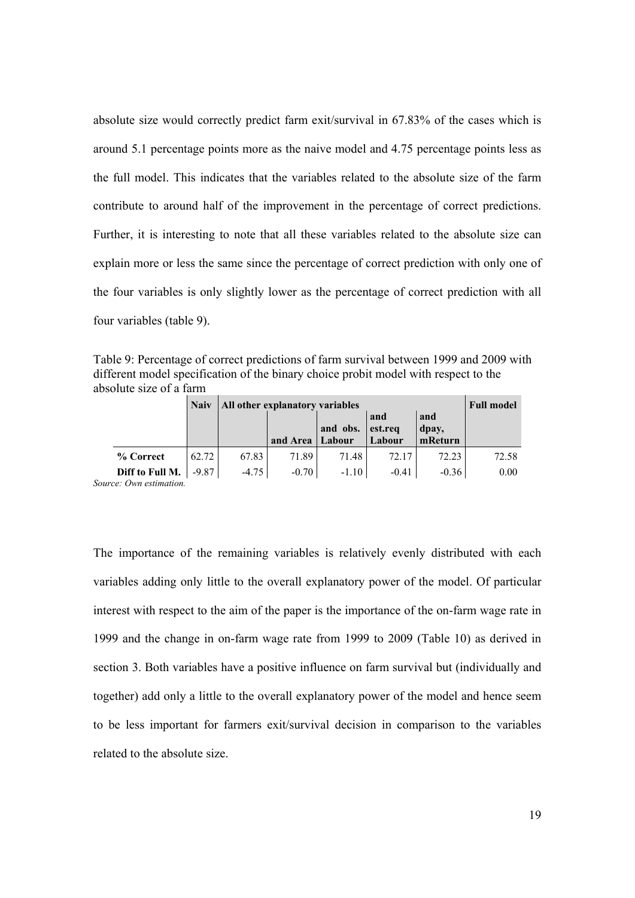absolute size would correctly predict farm exit/survival in 67.83% of the cases which is around 5.1 percentage points more as the naive model and 4.75 percentage points less as the full model. This indicates that the variables related to the absolute size of the farm contribute to around half of the improvement in the percentage of correct predictions. Further, it is interesting to note that all these variables related to the absolute size can explain more or less the same since the percentage of correct prediction with only one of the four variables is only slightly lower as the percentage of correct prediction with all four variables (table 9).

Table 9: Percentage of correct predictions of farm survival between 1999 and 2009 with different model specification of the binary choice probit model with respect to the absolute size of a farm

|                         |                 | <b>Naiv</b> |         | All other explanatory variables<br><b>Full model</b> |          |                |              |       |  |
|-------------------------|-----------------|-------------|---------|------------------------------------------------------|----------|----------------|--------------|-------|--|
|                         |                 |             |         |                                                      | and obs. | and<br>est.req | and<br>dpay, |       |  |
|                         |                 |             |         | and Area                                             | Labour   | Labour         | mReturn      |       |  |
|                         | % Correct       | 62.72       | 67.83   | 71.89                                                | 71.48    | 72.17          | 72.23        | 72.58 |  |
|                         | Diff to Full M. | $-9.87$     | $-4.75$ | $-0.70$                                              | $-1.10$  | $-0.41$        | $-0.36$      | 0.00  |  |
| Source: Own estimation. |                 |             |         |                                                      |          |                |              |       |  |

The importance of the remaining variables is relatively evenly distributed with each variables adding only little to the overall explanatory power of the model. Of particular interest with respect to the aim of the paper is the importance of the on-farm wage rate in 1999 and the change in on-farm wage rate from 1999 to 2009 (Table 10) as derived in section 3. Both variables have a positive influence on farm survival but (individually and together) add only a little to the overall explanatory power of the model and hence seem to be less important for farmers exit/survival decision in comparison to the variables related to the absolute size.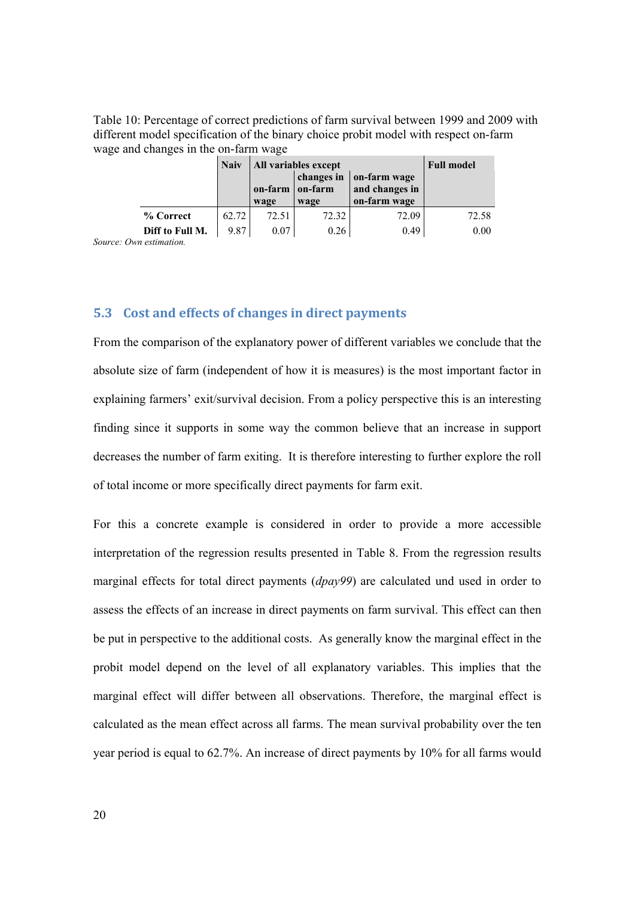Table 10: Percentage of correct predictions of farm survival between 1999 and 2009 with different model specification of the binary choice probit model with respect on-farm wage and changes in the on-farm wage

|                 | <b>Naiv</b> | All variables except | <b>Full model</b>     |                                |       |
|-----------------|-------------|----------------------|-----------------------|--------------------------------|-------|
|                 |             | on-farm              | changes in<br>on-farm | on-farm wage<br>and changes in |       |
|                 |             | wage                 | wage                  | on-farm wage                   |       |
| % Correct       | 62.72       | 72.51                | 72.32                 | 72.09                          | 72.58 |
| Diff to Full M. | 9.87        | 0.07                 | 0.26                  | 0.49                           | 0.00  |

*Source: Own estimation.* 

# **5.3 Cost and effects of changes in direct payments**

From the comparison of the explanatory power of different variables we conclude that the absolute size of farm (independent of how it is measures) is the most important factor in explaining farmers' exit/survival decision. From a policy perspective this is an interesting finding since it supports in some way the common believe that an increase in support decreases the number of farm exiting. It is therefore interesting to further explore the roll of total income or more specifically direct payments for farm exit.

For this a concrete example is considered in order to provide a more accessible interpretation of the regression results presented in Table 8. From the regression results marginal effects for total direct payments (*dpay99*) are calculated und used in order to assess the effects of an increase in direct payments on farm survival. This effect can then be put in perspective to the additional costs. As generally know the marginal effect in the probit model depend on the level of all explanatory variables. This implies that the marginal effect will differ between all observations. Therefore, the marginal effect is calculated as the mean effect across all farms. The mean survival probability over the ten year period is equal to 62.7%. An increase of direct payments by 10% for all farms would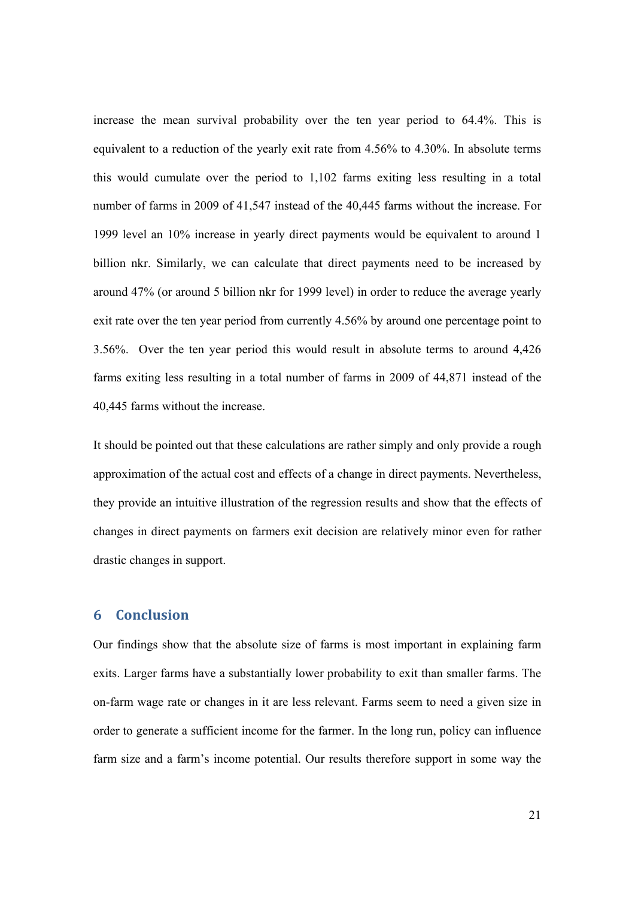increase the mean survival probability over the ten year period to 64.4%. This is equivalent to a reduction of the yearly exit rate from 4.56% to 4.30%. In absolute terms this would cumulate over the period to 1,102 farms exiting less resulting in a total number of farms in 2009 of 41,547 instead of the 40,445 farms without the increase. For 1999 level an 10% increase in yearly direct payments would be equivalent to around 1 billion nkr. Similarly, we can calculate that direct payments need to be increased by around 47% (or around 5 billion nkr for 1999 level) in order to reduce the average yearly exit rate over the ten year period from currently 4.56% by around one percentage point to 3.56%. Over the ten year period this would result in absolute terms to around 4,426 farms exiting less resulting in a total number of farms in 2009 of 44,871 instead of the 40,445 farms without the increase.

It should be pointed out that these calculations are rather simply and only provide a rough approximation of the actual cost and effects of a change in direct payments. Nevertheless, they provide an intuitive illustration of the regression results and show that the effects of changes in direct payments on farmers exit decision are relatively minor even for rather drastic changes in support.

# **6 Conclusion**

Our findings show that the absolute size of farms is most important in explaining farm exits. Larger farms have a substantially lower probability to exit than smaller farms. The on-farm wage rate or changes in it are less relevant. Farms seem to need a given size in order to generate a sufficient income for the farmer. In the long run, policy can influence farm size and a farm's income potential. Our results therefore support in some way the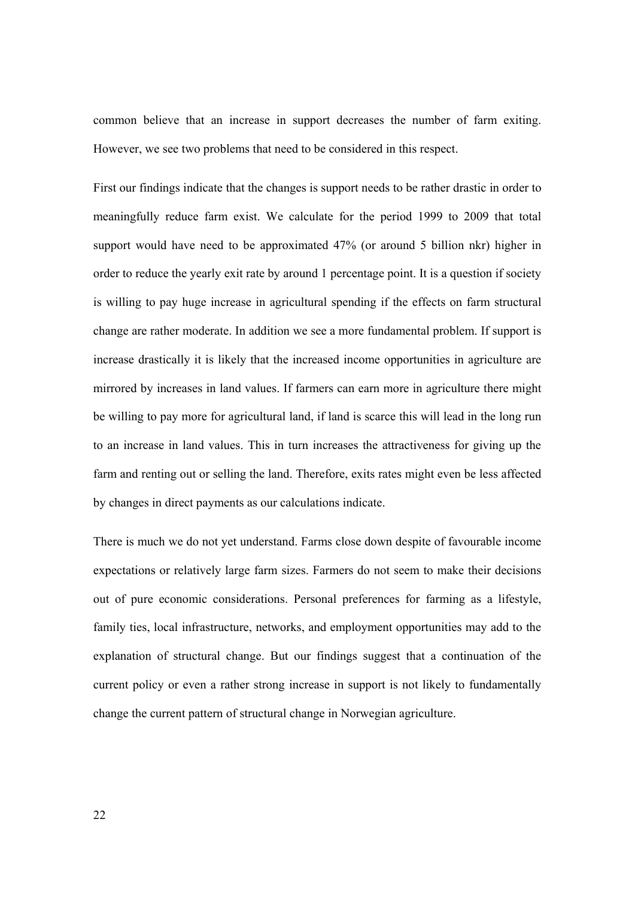common believe that an increase in support decreases the number of farm exiting. However, we see two problems that need to be considered in this respect.

First our findings indicate that the changes is support needs to be rather drastic in order to meaningfully reduce farm exist. We calculate for the period 1999 to 2009 that total support would have need to be approximated 47% (or around 5 billion nkr) higher in order to reduce the yearly exit rate by around 1 percentage point. It is a question if society is willing to pay huge increase in agricultural spending if the effects on farm structural change are rather moderate. In addition we see a more fundamental problem. If support is increase drastically it is likely that the increased income opportunities in agriculture are mirrored by increases in land values. If farmers can earn more in agriculture there might be willing to pay more for agricultural land, if land is scarce this will lead in the long run to an increase in land values. This in turn increases the attractiveness for giving up the farm and renting out or selling the land. Therefore, exits rates might even be less affected by changes in direct payments as our calculations indicate.

There is much we do not yet understand. Farms close down despite of favourable income expectations or relatively large farm sizes. Farmers do not seem to make their decisions out of pure economic considerations. Personal preferences for farming as a lifestyle, family ties, local infrastructure, networks, and employment opportunities may add to the explanation of structural change. But our findings suggest that a continuation of the current policy or even a rather strong increase in support is not likely to fundamentally change the current pattern of structural change in Norwegian agriculture.